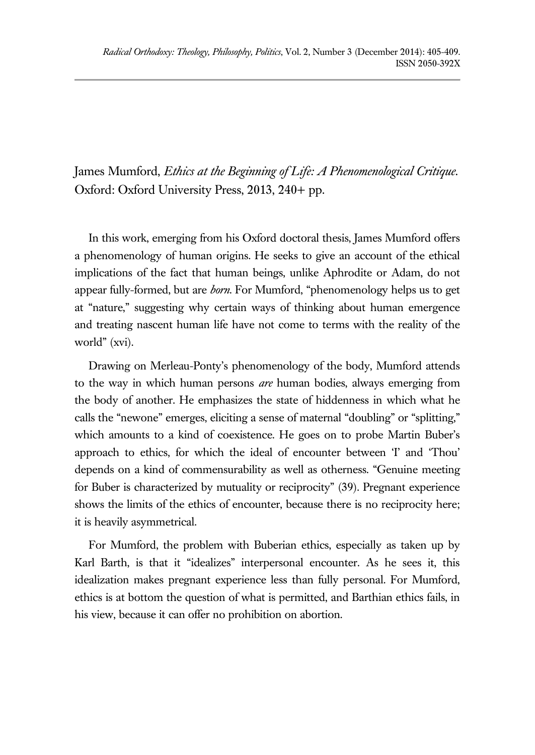James Mumford, *Ethics at the Beginning of Life: A Phenomenological Critique*. Oxford: Oxford University Press, 2013, 240+ pp.

In this work, emerging from his Oxford doctoral thesis, James Mumford offers a phenomenology of human origins. He seeks to give an account of the ethical implications of the fact that human beings, unlike Aphrodite or Adam, do not appear fully-formed, but are *born*. For Mumford, "phenomenology helps us to get at "nature," suggesting why certain ways of thinking about human emergence and treating nascent human life have not come to terms with the reality of the world" (xvi).

Drawing on Merleau-Ponty's phenomenology of the body, Mumford attends to the way in which human persons *are* human bodies, always emerging from the body of another. He emphasizes the state of hiddenness in which what he calls the "newone" emerges, eliciting a sense of maternal "doubling" or "splitting," which amounts to a kind of coexistence. He goes on to probe Martin Buber's approach to ethics, for which the ideal of encounter between 'I' and 'Thou' depends on a kind of commensurability as well as otherness. "Genuine meeting for Buber is characterized by mutuality or reciprocity" (39). Pregnant experience shows the limits of the ethics of encounter, because there is no reciprocity here; it is heavily asymmetrical.

For Mumford, the problem with Buberian ethics, especially as taken up by Karl Barth, is that it "idealizes" interpersonal encounter. As he sees it, this idealization makes pregnant experience less than fully personal. For Mumford, ethics is at bottom the question of what is permitted, and Barthian ethics fails, in his view, because it can offer no prohibition on abortion.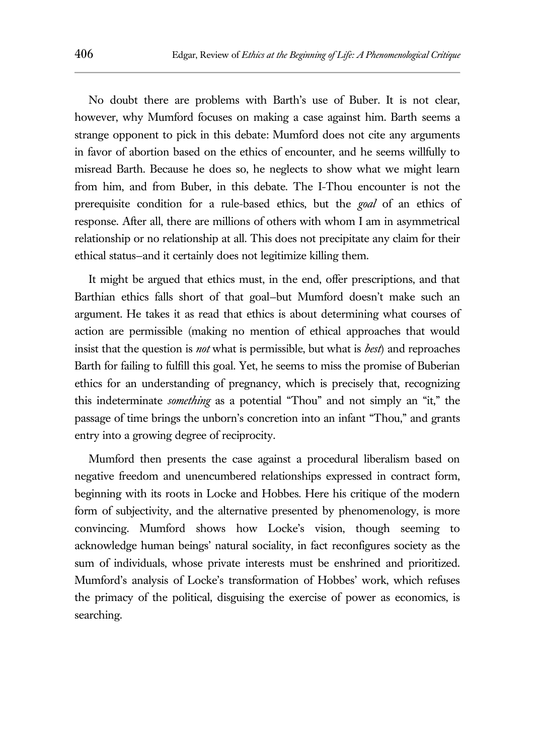No doubt there are problems with Barth's use of Buber. It is not clear, however, why Mumford focuses on making a case against him. Barth seems a strange opponent to pick in this debate: Mumford does not cite any arguments in favor of abortion based on the ethics of encounter, and he seems willfully to misread Barth. Because he does so, he neglects to show what we might learn from him, and from Buber, in this debate. The I-Thou encounter is not the prerequisite condition for a rule-based ethics, but the *goal* of an ethics of response. After all, there are millions of others with whom I am in asymmetrical relationship or no relationship at all. This does not precipitate any claim for their ethical status—and it certainly does not legitimize killing them.

It might be argued that ethics must, in the end, offer prescriptions, and that Barthian ethics falls short of that goal—but Mumford doesn't make such an argument. He takes it as read that ethics is about determining what courses of action are permissible (making no mention of ethical approaches that would insist that the question is *not* what is permissible, but what is *best*) and reproaches Barth for failing to fulfill this goal. Yet, he seems to miss the promise of Buberian ethics for an understanding of pregnancy, which is precisely that, recognizing this indeterminate *something* as a potential "Thou" and not simply an "it," the passage of time brings the unborn's concretion into an infant "Thou," and grants entry into a growing degree of reciprocity.

Mumford then presents the case against a procedural liberalism based on negative freedom and unencumbered relationships expressed in contract form, beginning with its roots in Locke and Hobbes. Here his critique of the modern form of subjectivity, and the alternative presented by phenomenology, is more convincing. Mumford shows how Locke's vision, though seeming to acknowledge human beings' natural sociality, in fact reconfigures society as the sum of individuals, whose private interests must be enshrined and prioritized. Mumford's analysis of Locke's transformation of Hobbes' work, which refuses the primacy of the political, disguising the exercise of power as economics, is searching.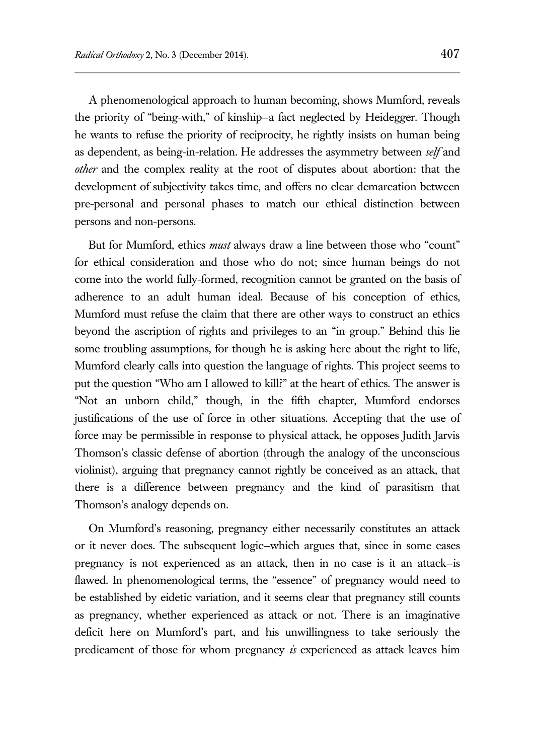A phenomenological approach to human becoming, shows Mumford, reveals the priority of "being-with," of kinship—a fact neglected by Heidegger. Though he wants to refuse the priority of reciprocity, he rightly insists on human being as dependent, as being-in-relation. He addresses the asymmetry between *self* and *other* and the complex reality at the root of disputes about abortion: that the development of subjectivity takes time, and offers no clear demarcation between pre-personal and personal phases to match our ethical distinction between persons and non-persons.

But for Mumford, ethics *must* always draw a line between those who "count" for ethical consideration and those who do not; since human beings do not come into the world fully-formed, recognition cannot be granted on the basis of adherence to an adult human ideal. Because of his conception of ethics, Mumford must refuse the claim that there are other ways to construct an ethics beyond the ascription of rights and privileges to an "in group." Behind this lie some troubling assumptions, for though he is asking here about the right to life, Mumford clearly calls into question the language of rights. This project seems to put the question "Who am I allowed to kill?" at the heart of ethics. The answer is "Not an unborn child," though, in the fifth chapter, Mumford endorses justifications of the use of force in other situations. Accepting that the use of force may be permissible in response to physical attack, he opposes Judith Jarvis Thomson's classic defense of abortion (through the analogy of the unconscious violinist), arguing that pregnancy cannot rightly be conceived as an attack, that there is a difference between pregnancy and the kind of parasitism that Thomson's analogy depends on.

On Mumford's reasoning, pregnancy either necessarily constitutes an attack or it never does. The subsequent logic—which argues that, since in some cases pregnancy is not experienced as an attack, then in no case is it an attack—is flawed. In phenomenological terms, the "essence" of pregnancy would need to be established by eidetic variation, and it seems clear that pregnancy still counts as pregnancy, whether experienced as attack or not. There is an imaginative deficit here on Mumford's part, and his unwillingness to take seriously the predicament of those for whom pregnancy *is* experienced as attack leaves him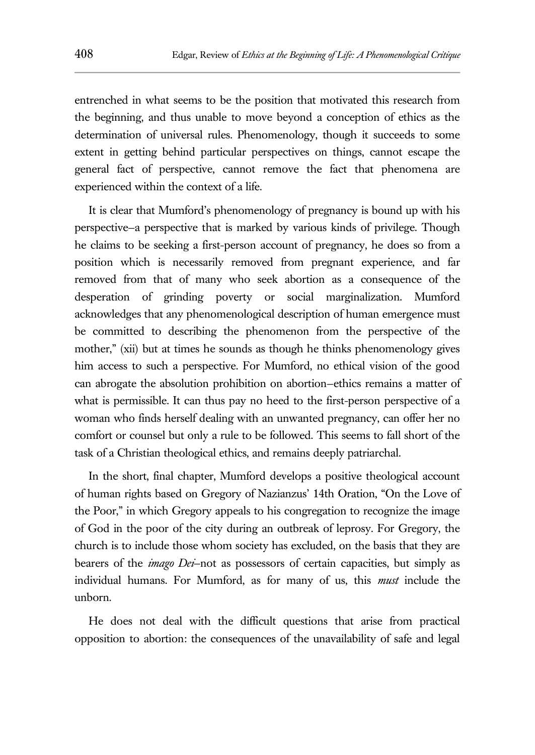entrenched in what seems to be the position that motivated this research from the beginning, and thus unable to move beyond a conception of ethics as the determination of universal rules. Phenomenology, though it succeeds to some extent in getting behind particular perspectives on things, cannot escape the general fact of perspective, cannot remove the fact that phenomena are experienced within the context of a life.

It is clear that Mumford's phenomenology of pregnancy is bound up with his perspective—a perspective that is marked by various kinds of privilege. Though he claims to be seeking a first-person account of pregnancy, he does so from a position which is necessarily removed from pregnant experience, and far removed from that of many who seek abortion as a consequence of the desperation of grinding poverty or social marginalization. Mumford acknowledges that any phenomenological description of human emergence must be committed to describing the phenomenon from the perspective of the mother," (xii) but at times he sounds as though he thinks phenomenology gives him access to such a perspective. For Mumford, no ethical vision of the good can abrogate the absolution prohibition on abortion—ethics remains a matter of what is permissible. It can thus pay no heed to the first-person perspective of a woman who finds herself dealing with an unwanted pregnancy, can offer her no comfort or counsel but only a rule to be followed. This seems to fall short of the task of a Christian theological ethics, and remains deeply patriarchal.

In the short, final chapter, Mumford develops a positive theological account of human rights based on Gregory of Nazianzus' 14th Oration, "On the Love of the Poor," in which Gregory appeals to his congregation to recognize the image of God in the poor of the city during an outbreak of leprosy. For Gregory, the church is to include those whom society has excluded, on the basis that they are bearers of the *imago Dei*—not as possessors of certain capacities, but simply as individual humans. For Mumford, as for many of us, this *must* include the unborn.

He does not deal with the difficult questions that arise from practical opposition to abortion: the consequences of the unavailability of safe and legal